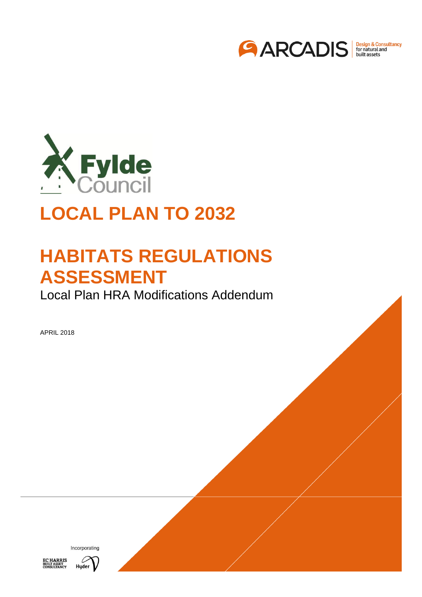



# **LOCAL PLAN TO 2032**

# **HABITATS REGULATIONS ASSESSMENT**

Local Plan HRA Modifications Addendum

APRIL 2018



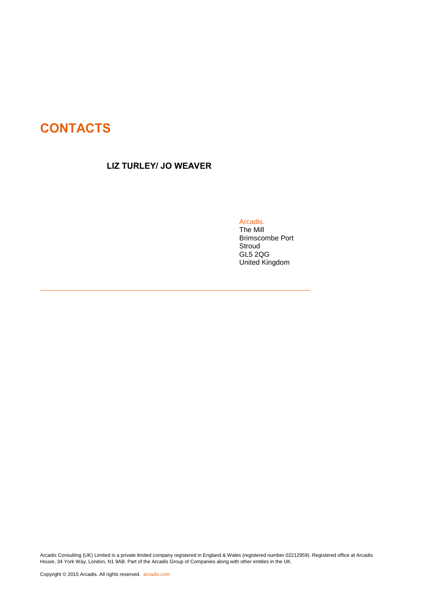# **CONTACTS**

#### LIZ TURLEY/ JO WEAVER

Arcadis.

[The Mill](#page-14-0) [Brimscombe Port](#page-14-0) **[Stroud](#page-14-0)** [GL5 2QG](#page-14-0) [United Kingdom](#page-14-0)

Arcadis Consulting (UK) Limited is a private limited company registered in England & Wales (registered number 02212959). Registered office at Arcadis House, 34 York Way, London, N1 9AB. Part of the Arcadis Group of Companies along with other entities in the UK.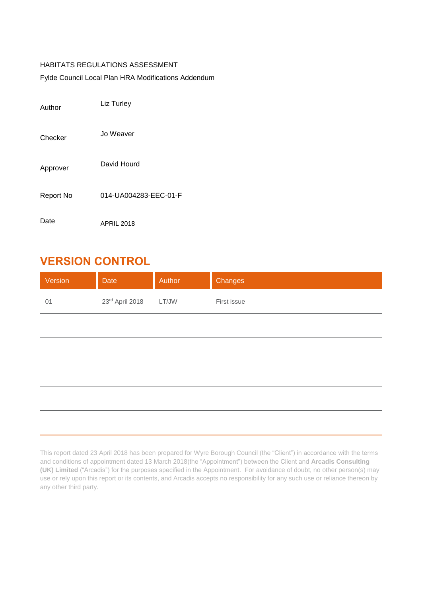#### HABITATS REGULATIONS ASSESSMENT

Fylde Council Local Plan HRA Modifications Addendum

| Author           | Liz Turley            |
|------------------|-----------------------|
| Checker          | Jo Weaver             |
| Approver         | David Hourd           |
| <b>Report No</b> | 014-UA004283-EEC-01-F |
| Date             | <b>APRIL 2018</b>     |

## <span id="page-2-0"></span>VERSION CONTROL

| Version | Date            | Author | Changes     |
|---------|-----------------|--------|-------------|
| 01      | 23rd April 2018 | LT/JW  | First issue |
|         |                 |        |             |
|         |                 |        |             |
|         |                 |        |             |
|         |                 |        |             |
|         |                 |        |             |

This report dated 23 April 2018 has been prepared for Wyre Borough Council (the "Client") in accordance with the terms and conditions of appointment dated 13 March 2018(the "Appointment") between the Client and **Arcadis Consulting (UK) Limited** ("Arcadis") for the purposes specified in the Appointment. For avoidance of doubt, no other person(s) may use or rely upon this report or its contents, and Arcadis accepts no responsibility for any such use or reliance thereon by any other third party.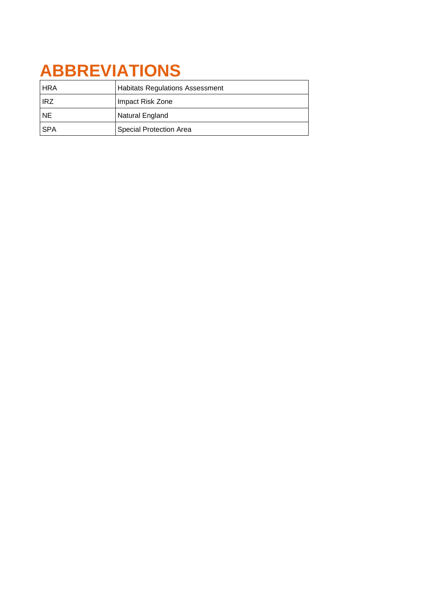# **ABBREVIATIONS**

| <b>HRA</b> | <b>Habitats Regulations Assessment</b> |
|------------|----------------------------------------|
| <b>HRZ</b> | Impact Risk Zone                       |
| I NE       | Natural England                        |
| l SPA      | Special Protection Area                |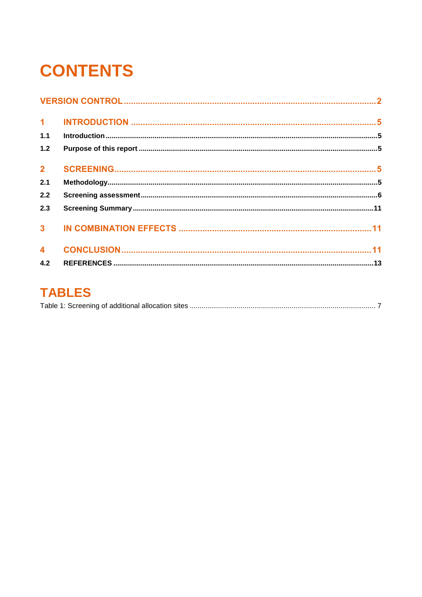# **CONTENTS**

| 1.1 |  |
|-----|--|
| 1.2 |  |
|     |  |
| 2.1 |  |
| 2.2 |  |
| 2.3 |  |
|     |  |
|     |  |
| 4.2 |  |

# **TABLES**

|--|--|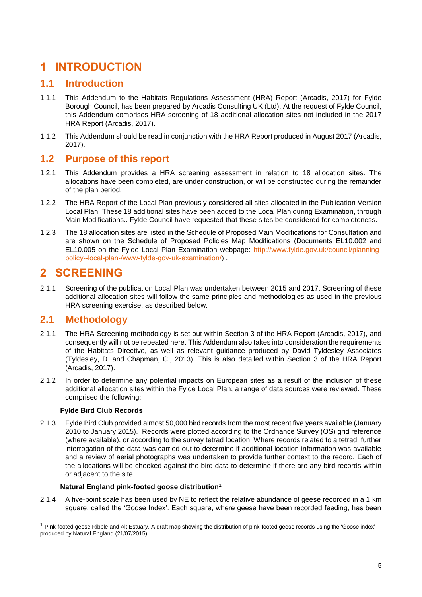## <span id="page-5-0"></span>1 INTRODUCTION

#### <span id="page-5-1"></span>**1.1 Introduction**

- 1.1.1 This Addendum to the Habitats Regulations Assessment (HRA) Report (Arcadis, 2017) for Fylde Borough Council, has been prepared by Arcadis Consulting UK (Ltd). At the request of Fylde Council, this Addendum comprises HRA screening of 18 additional allocation sites not included in the 2017 HRA Report (Arcadis, 2017).
- 1.1.2 This Addendum should be read in conjunction with the HRA Report produced in August 2017 (Arcadis, 2017).

### <span id="page-5-2"></span>**1.2 Purpose of this report**

- 1.2.1 This Addendum provides a HRA screening assessment in relation to 18 allocation sites. The allocations have been completed, are under construction, or will be constructed during the remainder of the plan period.
- 1.2.2 The HRA Report of the Local Plan previously considered all sites allocated in the Publication Version Local Plan. These 18 additional sites have been added to the Local Plan during Examination, through Main Modifications.. Fylde Council have requested that these sites be considered for completeness.
- 1.2.3 The 18 allocation sites are listed in the Schedule of Proposed Main Modifications for Consultation and are shown on the Schedule of Proposed Policies Map Modifications (Documents EL10.002 and EL10.005 on the Fylde Local Plan Examination webpage: [http://www.fylde.gov.uk/council/planning](http://www.fylde.gov.uk/council/planning-policy--local-plan-/www-fylde-gov-uk-examination/)[policy--local-plan-/www-fylde-gov-uk-examination/\)](http://www.fylde.gov.uk/council/planning-policy--local-plan-/www-fylde-gov-uk-examination/) .

## <span id="page-5-3"></span>2 SCREENING

2.1.1 Screening of the publication Local Plan was undertaken between 2015 and 2017. Screening of these additional allocation sites will follow the same principles and methodologies as used in the previous HRA screening exercise, as described below.

### <span id="page-5-4"></span>**2.1 Methodology**

- 2.1.1 The HRA Screening methodology is set out within Section 3 of the HRA Report (Arcadis, 2017), and consequently will not be repeated here. This Addendum also takes into consideration the requirements of the Habitats Directive, as well as relevant guidance produced by David Tyldesley Associates (Tyldesley, D. and Chapman, C., 2013). This is also detailed within Section 3 of the HRA Report (Arcadis, 2017).
- 2.1.2 In order to determine any potential impacts on European sites as a result of the inclusion of these additional allocation sites within the Fylde Local Plan, a range of data sources were reviewed. These comprised the following:

#### **Fylde Bird Club Records**

-

2.1.3 Fylde Bird Club provided almost 50,000 bird records from the most recent five years available (January 2010 to January 2015). Records were plotted according to the Ordnance Survey (OS) grid reference (where available), or according to the survey tetrad location. Where records related to a tetrad, further interrogation of the data was carried out to determine if additional location information was available and a review of aerial photographs was undertaken to provide further context to the record. Each of the allocations will be checked against the bird data to determine if there are any bird records within or adjacent to the site.

#### **Natural England pink-footed goose distribution<sup>1</sup>**

2.1.4 A five-point scale has been used by NE to reflect the relative abundance of geese recorded in a 1 km square, called the 'Goose Index'. Each square, where geese have been recorded feeding, has been

 $1$  Pink-footed geese Ribble and Alt Estuary. A draft map showing the distribution of pink-footed geese records using the 'Goose index' produced by Natural England (21/07/2015).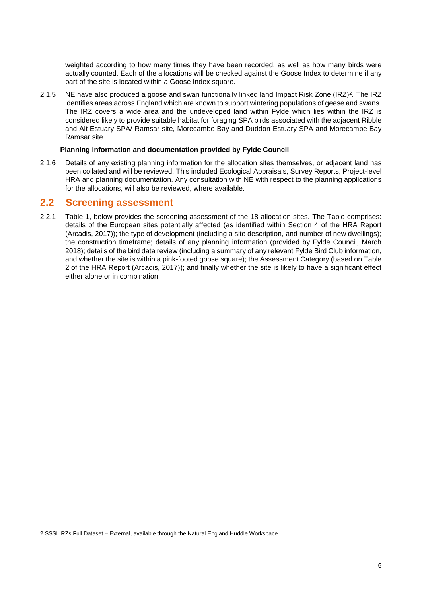weighted according to how many times they have been recorded, as well as how many birds were actually counted. Each of the allocations will be checked against the Goose Index to determine if any part of the site is located within a Goose Index square.

2.1.5 NE have also produced a goose and swan functionally linked land Impact Risk Zone (IRZ)<sup>2</sup>. The IRZ identifies areas across England which are known to support wintering populations of geese and swans. The IRZ covers a wide area and the undeveloped land within Fylde which lies within the IRZ is considered likely to provide suitable habitat for foraging SPA birds associated with the adjacent Ribble and Alt Estuary SPA/ Ramsar site, Morecambe Bay and Duddon Estuary SPA and Morecambe Bay Ramsar site.

#### **Planning information and documentation provided by Fylde Council**

2.1.6 Details of any existing planning information for the allocation sites themselves, or adjacent land has been collated and will be reviewed. This included Ecological Appraisals, Survey Reports, Project-level HRA and planning documentation. Any consultation with NE with respect to the planning applications for the allocations, will also be reviewed, where available.

#### <span id="page-6-0"></span>**2.2 Screening assessment**

2.2.1 Table 1, below provides the screening assessment of the 18 allocation sites. The Table comprises: details of the European sites potentially affected (as identified within Section 4 of the HRA Report (Arcadis, 2017)); the type of development (including a site description, and number of new dwellings); the construction timeframe; details of any planning information (provided by Fylde Council, March 2018); details of the bird data review (including a summary of any relevant Fylde Bird Club information, and whether the site is within a pink-footed goose square); the Assessment Category (based on Table 2 of the HRA Report (Arcadis, 2017)); and finally whether the site is likely to have a significant effect either alone or in combination.

<sup>-</sup>2 SSSI IRZs Full Dataset – External, available through the Natural England Huddle Workspace.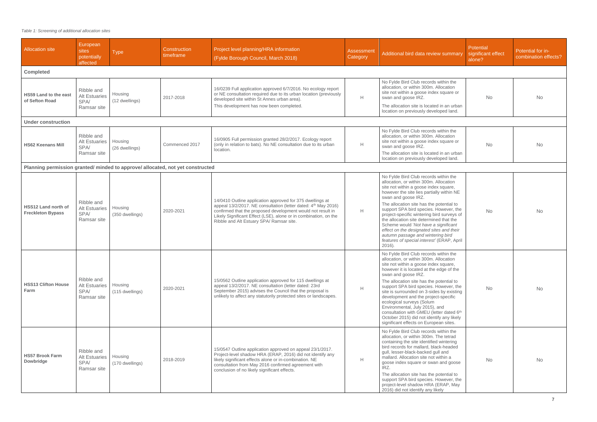#### <span id="page-7-0"></span>*Table 1: Screening of additional allocation sites*

| <b>Allocation site</b>                                                       | European<br>sites<br>potentially<br>affected              | <b>Type</b>                | Construction<br>timeframe | Project level planning/HRA information<br>(Fylde Borough Council, March 2018)                                                                                                                                                                                                                                          | <b>Assessment</b><br>Category | Additional bird data review summary                                                                                                                                                                                                                                                                                                                                                                                                                                                                                                                                      | Potential<br>significant effect<br>alone? | Potential for in-<br>combination effects? |
|------------------------------------------------------------------------------|-----------------------------------------------------------|----------------------------|---------------------------|------------------------------------------------------------------------------------------------------------------------------------------------------------------------------------------------------------------------------------------------------------------------------------------------------------------------|-------------------------------|--------------------------------------------------------------------------------------------------------------------------------------------------------------------------------------------------------------------------------------------------------------------------------------------------------------------------------------------------------------------------------------------------------------------------------------------------------------------------------------------------------------------------------------------------------------------------|-------------------------------------------|-------------------------------------------|
| <b>Completed</b>                                                             |                                                           |                            |                           |                                                                                                                                                                                                                                                                                                                        |                               |                                                                                                                                                                                                                                                                                                                                                                                                                                                                                                                                                                          |                                           |                                           |
| <b>HS59 Land to the east</b><br>of Sefton Road                               | Ribble and<br><b>Alt Estuaries</b><br>SPA/<br>Ramsar site | Housing<br>(12 dwellings)  | 2017-2018                 | 16/0239 Full application approved 6/7/2016. No ecology report<br>or NE consultation required due to its urban location (previously<br>developed site within St Annes urban area).<br>This development has now been completed.                                                                                          | H                             | No Fylde Bird Club records within the<br>allocation, or within 300m. Allocation<br>site not within a goose index square or<br>swan and goose IRZ.<br>The allocation site is located in an urban                                                                                                                                                                                                                                                                                                                                                                          | <b>No</b>                                 | <b>No</b>                                 |
|                                                                              |                                                           |                            |                           |                                                                                                                                                                                                                                                                                                                        |                               | location on previously developed land.                                                                                                                                                                                                                                                                                                                                                                                                                                                                                                                                   |                                           |                                           |
| <b>Under construction</b>                                                    |                                                           |                            |                           |                                                                                                                                                                                                                                                                                                                        |                               |                                                                                                                                                                                                                                                                                                                                                                                                                                                                                                                                                                          |                                           |                                           |
| <b>HS62 Keenans Mill</b>                                                     | Ribble and<br><b>Alt Estuaries</b><br>SPA/                | Housing<br>(26 dwellings)  | Commenced 2017            | 16/0905 Full permission granted 28/2/2017. Ecology report<br>(only in relation to bats). No NE consultation due to its urban<br>location.                                                                                                                                                                              | H                             | No Fylde Bird Club records within the<br>allocation, or within 300m. Allocation<br>site not within a goose index square or<br>swan and goose IRZ.                                                                                                                                                                                                                                                                                                                                                                                                                        | <b>No</b>                                 | <b>No</b>                                 |
|                                                                              | Ramsar site                                               |                            |                           |                                                                                                                                                                                                                                                                                                                        |                               | The allocation site is located in an urban<br>location on previously developed land.                                                                                                                                                                                                                                                                                                                                                                                                                                                                                     |                                           |                                           |
| Planning permission granted/minded to approve/allocated, not yet constructed |                                                           |                            |                           |                                                                                                                                                                                                                                                                                                                        |                               |                                                                                                                                                                                                                                                                                                                                                                                                                                                                                                                                                                          |                                           |                                           |
| <b>HSS12 Land north of</b><br><b>Freckleton Bypass</b>                       | Ribble and<br><b>Alt Estuaries</b><br>SPA/<br>Ramsar site |                            |                           | 14/0410 Outline application approved for 375 dwellings at<br>appeal 13/2/2017. NE consultation (letter dated: 4 <sup>th</sup> May 2016)<br>confirmed that the proposed development would not result in<br>Likely Significant Effect (LSE), alone or in combination, on the<br>Ribble and Alt Estuary SPA/ Ramsar site. |                               | No Fylde Bird Club records within the<br>allocation, or within 300m. Allocation<br>site not within a goose index square,<br>however the site lies partially within NE<br>swan and goose IRZ.                                                                                                                                                                                                                                                                                                                                                                             | No                                        | <b>No</b>                                 |
|                                                                              |                                                           | Housing<br>(350 dwellings) | 2020-2021                 |                                                                                                                                                                                                                                                                                                                        | H                             | The allocation site has the potential to<br>support SPA bird species. However, the<br>project-specific wintering bird surveys of<br>the allocation site determined that the<br>Scheme would 'Not have a significant<br>effect on the designated sites and their<br>autumn passage and wintering bird<br>features of special interest' (ERAP, April<br>$2016$ ).                                                                                                                                                                                                          |                                           |                                           |
| <b>HSS13 Clifton House</b><br>Farm                                           | Ribble and<br><b>Alt Estuaries</b><br>SPA/<br>Ramsar site | Housing<br>(115 dwellings) | 2020-2021                 | 15/0562 Outline application approved for 115 dwellings at<br>appeal 13/2/2017. NE consultation (letter dated: 23rd<br>September 2015) advises the Council that the proposal is<br>unlikely to affect any statutorily protected sites or landscapes.                                                                    | H                             | No Fylde Bird Club records within the<br>allocation, or within 300m. Allocation<br>site not within a goose index square,<br>however it is located at the edge of the<br>swan and goose IRZ.<br>The allocation site has the potential to<br>support SPA bird species. However, the<br>site is surrounded on 3-sides by existing<br>development and the project-specific<br>ecological surveys (Solum<br>Environmental, July 2015), and<br>consultation with GMEU (letter dated 6th<br>October 2015) did not identify any likely<br>significant effects on European sites. | No                                        | <b>No</b>                                 |
| <b>HS57 Brook Farm</b><br>Dowbridge                                          | Ribble and<br><b>Alt Estuaries</b><br>SPA/<br>Ramsar site | Housing<br>(170 dwellings) | 2018-2019                 | 15/0547 Outline application approved on appeal 23/1/2017.<br>Project-level shadow HRA (ERAP, 2016) did not identify any<br>likely significant effects alone or in-combination. NE<br>consultation from May 2016 confirmed agreement with<br>conclusion of no likely significant effects.                               | H                             | No Fylde Bird Club records within the<br>allocation, or within 300m. The tetrad<br>containing the site identified wintering<br>bird records for mallard, black-headed<br>gull, lesser-black-backed gull and<br>mallard. Allocation site not within a<br>goose index square or swan and goose<br>IRZ.<br>The allocation site has the potential to<br>support SPA bird species. However, the<br>project-level shadow HRA (ERAP, May<br>2016) did not identify any likely                                                                                                   | <b>No</b>                                 | <b>No</b>                                 |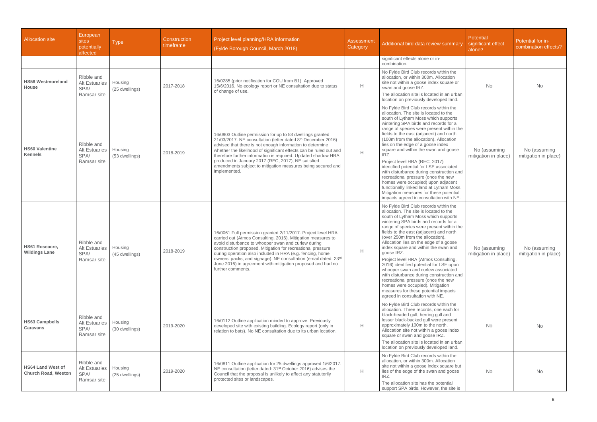| <b>Allocation site</b>                                 | European<br>sites<br>potentially<br>affected              | <b>Type</b>               | <b>Construction</b><br>timeframe | Project level planning/HRA information<br>(Fylde Borough Council, March 2018)                                                                                                                                                                                                                                                                                                                                                                                          | <b>Assessment</b><br>Category | Additional bird data review summary                                                                                                                                                                                                                                                                                                                                                                                                                                                                                                                                                                                                                                                                                          | Potential<br>significant effect<br>alone? | Potential for in-<br>combination effects? |
|--------------------------------------------------------|-----------------------------------------------------------|---------------------------|----------------------------------|------------------------------------------------------------------------------------------------------------------------------------------------------------------------------------------------------------------------------------------------------------------------------------------------------------------------------------------------------------------------------------------------------------------------------------------------------------------------|-------------------------------|------------------------------------------------------------------------------------------------------------------------------------------------------------------------------------------------------------------------------------------------------------------------------------------------------------------------------------------------------------------------------------------------------------------------------------------------------------------------------------------------------------------------------------------------------------------------------------------------------------------------------------------------------------------------------------------------------------------------------|-------------------------------------------|-------------------------------------------|
|                                                        |                                                           |                           |                                  |                                                                                                                                                                                                                                                                                                                                                                                                                                                                        |                               | significant effects alone or in-<br>combination.                                                                                                                                                                                                                                                                                                                                                                                                                                                                                                                                                                                                                                                                             |                                           |                                           |
| <b>HS58 Westmoreland</b><br>House                      | Ribble and<br><b>Alt Estuaries</b><br>SPA/<br>Ramsar site | Housing<br>(25 dwellings) | 2017-2018                        | 16/0285 (prior notification for COU from B1). Approved<br>15/6/2016. No ecology report or NE consultation due to status<br>of change of use.                                                                                                                                                                                                                                                                                                                           | H                             | No Fylde Bird Club records within the<br>allocation, or within 300m. Allocation<br>site not within a goose index square or<br>swan and goose IRZ.<br>The allocation site is located in an urban<br>location on previously developed land.                                                                                                                                                                                                                                                                                                                                                                                                                                                                                    | <b>No</b>                                 | <b>No</b>                                 |
| <b>HS60 Valentine</b><br><b>Kennels</b>                | Ribble and<br><b>Alt Estuaries</b><br>SPA/<br>Ramsar site | Housing<br>(53 dwellings) | 2018-2019                        | 16/0903 Outline permission for up to 53 dwellings granted<br>21/03/2017. NE consultation (letter dated 8th December 2016)<br>advised that there is not enough information to determine<br>whether the likelihood of significant effects can be ruled out and<br>therefore further information is required. Updated shadow HRA<br>produced in January 2017 (REC, 2017), NE satisfied<br>amendments subject to mitigation measures being secured and<br>implemented.     | H                             | No Fylde Bird Club records within the<br>allocation. The site is located to the<br>south of Lytham Moss which supports<br>wintering SPA birds and records for a<br>range of species were present within the<br>fields to the east (adjacent) and north<br>(100m from the allocation). Allocation<br>lies on the edge of a goose index<br>square and within the swan and goose<br>IRZ.<br>Project level HRA (REC, 2017)<br>identified potential for LSE associated<br>with disturbance during construction and<br>recreational pressure (once the new<br>homes were occupied) upon adjacent<br>functionally linked land at Lytham Moss.<br>Mitigation measures for these potential<br>impacts agreed in consultation with NE. | No (assuming<br>mitigation in place)      | No (assuming<br>mitigation in place)      |
| <b>HS61 Roseacre,</b><br><b>Wildings Lane</b>          | Ribble and<br><b>Alt Estuaries</b><br>SPA/<br>Ramsar site | Housing<br>(45 dwellings) | 2018-2019                        | 16/0061 Full permission granted 2/11/2017. Project level HRA<br>carried out (Atmos Consulting, 2016). Mitigation measures to<br>avoid disturbance to whooper swan and curlew during<br>construction proposed. Mitigation for recreational pressure<br>during operation also included in HRA (e.g. fencing, home<br>owners' packs, and signage). NE consultation (email dated: 23rd<br>June 2016) in agreement with mitigation proposed and had no<br>further comments. | H                             | No Fylde Bird Club records within the<br>allocation. The site is located to the<br>south of Lytham Moss which supports<br>wintering SPA birds and records for a<br>range of species were present within the<br>fields to the east (adjacent) and north<br>(over 250m from the allocation).<br>Allocation lies on the edge of a goose<br>index square and within the swan and<br>goose IRZ.<br>Project level HRA (Atmos Consulting,<br>2016) identified potential for LSE upon<br>whooper swan and curlew associated<br>with disturbance during construction and<br>recreational pressure (once the new<br>homes were occupied). Mitigation<br>measures for these potential impacts<br>agreed in consultation with NE.        | No (assuming<br>mitigation in place)      | No (assuming<br>mitigation in place)      |
| <b>HS63 Campbells</b><br><b>Caravans</b>               | Ribble and<br><b>Alt Estuaries</b><br>SPA/<br>Ramsar site | Housing<br>(30 dwellings) | 2019-2020                        | 16/0112 Outline application minded to approve. Previously<br>developed site with existing building. Ecology report (only in<br>relation to bats). No NE consultation due to its urban location.                                                                                                                                                                                                                                                                        | H                             | No Fylde Bird Club records within the<br>allocation. Three records, one each for<br>black-headed gull, herring gull and<br>lesser black-backed gull were present<br>approximately 100m to the north.<br>Allocation site not within a goose index<br>square or swan and goose IRZ.<br>The allocation site is located in an urban<br>location on previously developed land.                                                                                                                                                                                                                                                                                                                                                    | No                                        | No                                        |
| <b>HS64 Land West of</b><br><b>Church Road, Weeton</b> | Ribble and<br><b>Alt Estuaries</b><br>SPA/<br>Ramsar site | Housing<br>(25 dwellings) | 2019-2020                        | 16/0811 Outline application for 25 dwellings approved 1/6/2017.<br>NE consultation (letter dated: 31 <sup>st</sup> October 2016) advises the<br>Council that the proposal is unlikely to affect any statutorily<br>protected sites or landscapes.                                                                                                                                                                                                                      | H                             | No Fylde Bird Club records within the<br>allocation, or within 300m. Allocation<br>site not within a goose index square but<br>lies of the edge of the swan and goose<br>IRZ.<br>The allocation site has the potential<br>support SPA birds. However, the site is                                                                                                                                                                                                                                                                                                                                                                                                                                                            | No                                        | <b>No</b>                                 |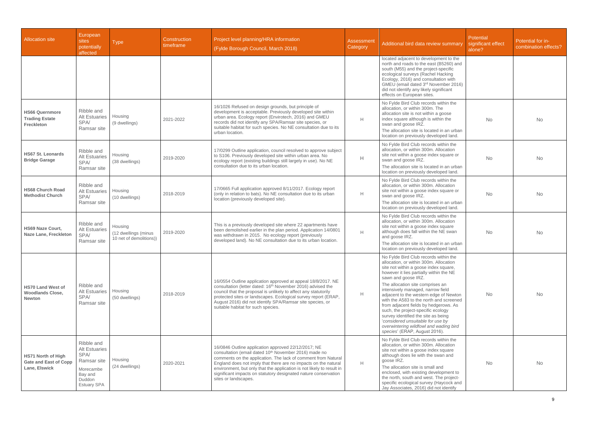| <b>Allocation site</b>                                                     | European<br>sites<br>potentially<br>affected                                                                      | <b>Type</b>                                                | <b>Construction</b><br>timeframe | Project level planning/HRA information<br>(Fylde Borough Council, March 2018)                                                                                                                                                                                                                                                                                                                                                    | <b>Assessment</b><br>Category | Additional bird data review summary                                                                                                                                                                                                                                                                                                                                                                                                                                                                                                                                                            | Potential<br>significant effect<br>alone? | Potential for in-<br>combination effects? |
|----------------------------------------------------------------------------|-------------------------------------------------------------------------------------------------------------------|------------------------------------------------------------|----------------------------------|----------------------------------------------------------------------------------------------------------------------------------------------------------------------------------------------------------------------------------------------------------------------------------------------------------------------------------------------------------------------------------------------------------------------------------|-------------------------------|------------------------------------------------------------------------------------------------------------------------------------------------------------------------------------------------------------------------------------------------------------------------------------------------------------------------------------------------------------------------------------------------------------------------------------------------------------------------------------------------------------------------------------------------------------------------------------------------|-------------------------------------------|-------------------------------------------|
|                                                                            |                                                                                                                   |                                                            |                                  |                                                                                                                                                                                                                                                                                                                                                                                                                                  |                               | located adjacent to development to the<br>north and roads to the east (B5260) and<br>south (M55) and the project-specific<br>ecological surveys (Rachel Hacking<br>Ecology, 2016) and consultation with<br>GMEU (email dated 3rd November 2016)<br>did not identify any likely significant<br>effects on European sites.                                                                                                                                                                                                                                                                       |                                           |                                           |
| <b>HS66 Quernmore</b><br><b>Trading Estate</b><br>Freckleton               | Ribble and<br><b>Alt Estuaries</b><br>SPA/<br>Ramsar site                                                         | Housing<br>(9 dwellings)                                   | 2021-2022                        | 16/1026 Refused on design grounds, but principle of<br>development is acceptable. Previously developed site within<br>urban area. Ecology report (Envirotech, 2016) and GMEU<br>records did not identify any SPA/Ramsar site species, or<br>suitable habitat for such species. No NE consultation due to its<br>urban location.                                                                                                  | H                             | No Fylde Bird Club records within the<br>allocation, or within 300m. The<br>allocation site is not within a goose<br>index square although is within the<br>swan and goose IRZ.<br>The allocation site is located in an urban<br>location on previously developed land.                                                                                                                                                                                                                                                                                                                        | <b>No</b>                                 | <b>No</b>                                 |
| <b>HS67 St. Leonards</b><br><b>Bridge Garage</b>                           | Ribble and<br><b>Alt Estuaries</b><br>SPA/<br>Ramsar site                                                         | Housing<br>(38 dwellings)                                  | 2019-2020                        | 17/0299 Outline application, council resolved to approve subject<br>to S106. Previously developed site within urban area. No<br>ecology report (existing buildings still largely in use). No NE<br>consultation due to its urban location.                                                                                                                                                                                       | Н.                            | No Fylde Bird Club records within the<br>allocation, or within 300m. Allocation<br>site not within a goose index square or<br>swan and goose IRZ.<br>The allocation site is located in an urban<br>location on previously developed land.                                                                                                                                                                                                                                                                                                                                                      | <b>No</b>                                 | <b>No</b>                                 |
| <b>HS68 Church Road</b><br><b>Methodist Church</b>                         | Ribble and<br><b>Alt Estuaries</b><br>SPA/<br>Ramsar site                                                         | Housing<br>(10 dwellings)                                  | 2018-2019                        | 17/0665 Full application approved 8/11/2017. Ecology report<br>(only in relation to bats). No NE consultation due to its urban<br>location (previously developed site).                                                                                                                                                                                                                                                          | H                             | No Fylde Bird Club records within the<br>allocation, or within 300m. Allocation<br>site not within a goose index square or<br>swan and goose IRZ.<br>The allocation site is located in an urban<br>location on previously developed land.                                                                                                                                                                                                                                                                                                                                                      | <b>No</b>                                 | <b>No</b>                                 |
| <b>HS69 Naze Court.</b><br><b>Naze Lane, Freckleton</b>                    | Ribble and<br><b>Alt Estuaries</b><br>SPA/<br>Ramsar site                                                         | Housing<br>(12 dwellings (minus<br>10 net of demolitions)) | 2019-2020                        | This is a previously developed site where 22 apartments have<br>been demolished earlier in the plan period. Application 14/0801<br>was withdrawn in 2015. No ecology report (previously<br>developed land). No NE consultation due to its urban location.                                                                                                                                                                        | H                             | No Fylde Bird Club records within the<br>allocation, or within 300m. Allocation<br>site not within a goose index square<br>although does fall within the NE swan<br>and goose IRZ.<br>The allocation site is located in an urban<br>location on previously developed land.                                                                                                                                                                                                                                                                                                                     | <b>No</b>                                 | <b>No</b>                                 |
| <b>HS70 Land West of</b><br><b>Woodlands Close,</b><br><b>Newton</b>       | Ribble and<br><b>Alt Estuaries</b><br>SPA/<br>Ramsar site                                                         | Housing<br>(50 dwellings)                                  | 2018-2019                        | 16/0554 Outline application approved at appeal 18/8/2017. NE<br>consultation (letter dated: 16 <sup>th</sup> November 2016) advised the<br>council that the proposal is unlikely to affect any statutorily<br>protected sites or landscapes. Ecological survey report (ERAP,<br>August 2016) did not identify SPA/Ramsar site species, or<br>suitable habitat for such species.                                                  | H                             | No Fylde Bird Club records within the<br>allocation, or within 300m. Allocation<br>site not within a goose index square,<br>however it lies partially within the NE<br>sawn and goose IRZ.<br>The allocation site comprises an<br>intensively managed, narrow field<br>adjacent to the western edge of Newton<br>with the A583 to the north and screened<br>from adjacent fields by hedgerows. As<br>such, the project-specific ecology<br>survey identified the site as being<br>'considered unsuitable for use by<br>overwintering wildfowl and wading bird<br>species' (ERAP, August 2016). | <b>No</b>                                 | <b>No</b>                                 |
| <b>HS71 North of High</b><br><b>Gate and East of Copp</b><br>Lane, Elswick | Ribble and<br><b>Alt Estuaries</b><br>SPA/<br>Ramsar site<br>Morecambe<br>Bay and<br>Duddon<br><b>Estuary SPA</b> | Housing<br>(24 dwellings)                                  | 2020-2021                        | 16/0846 Outline application approved 22/12/2017; NE<br>consultation (email dated 10 <sup>th</sup> November 2016) made no<br>comments on the application. The lack of comment from Natural<br>England does not imply that there are no impacts on the natural<br>environment, but only that the application is not likely to result in<br>significant impacts on statutory designated nature conservation<br>sites or landscapes. | H                             | No Fylde Bird Club records within the<br>allocation, or within 300m. Allocation<br>site not within a goose index square<br>although does lie with the swan and<br>goose IRZ.<br>The allocation site is small and<br>enclosed, with existing development to<br>the north, south and west. The project-<br>specific ecological survey (Haycock and<br>Jay Associates, 2016) did not identify                                                                                                                                                                                                     | <b>No</b>                                 | <b>No</b>                                 |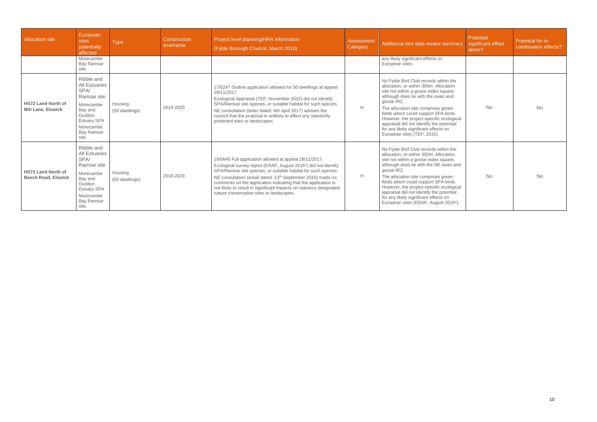| <b>Allocation site</b>                                  | European<br>sites<br>potentially<br>affected                                                                                                                 | <b>Type</b>               | Construction<br>timeframe | Project level planning/HRA information<br>(Fylde Borough Council, March 2018)                                                                                                                                                                                                                                                                                                                                                                                          | Assessment<br>Category | Additional bird data review summary                                                                                                                                                                                                                                                                                                                                                                                                                    | Potential<br>significant effect<br>alone? | Potential for in-<br>combination effects? |
|---------------------------------------------------------|--------------------------------------------------------------------------------------------------------------------------------------------------------------|---------------------------|---------------------------|------------------------------------------------------------------------------------------------------------------------------------------------------------------------------------------------------------------------------------------------------------------------------------------------------------------------------------------------------------------------------------------------------------------------------------------------------------------------|------------------------|--------------------------------------------------------------------------------------------------------------------------------------------------------------------------------------------------------------------------------------------------------------------------------------------------------------------------------------------------------------------------------------------------------------------------------------------------------|-------------------------------------------|-------------------------------------------|
|                                                         | Morecambe<br><b>Bay Ramsar</b><br>site.                                                                                                                      |                           |                           |                                                                                                                                                                                                                                                                                                                                                                                                                                                                        |                        | any likely significant effects on<br>European sites.                                                                                                                                                                                                                                                                                                                                                                                                   |                                           |                                           |
| <b>HS72 Land North of</b><br><b>Mill Lane, Elswick</b>  | Ribble and<br><b>Alt Estuaries</b><br>SPA/<br>Ramsar site<br>Morecambe<br>Bay and<br>Duddon<br><b>Estuary SPA</b><br>Morecambe<br><b>Bay Ramsar</b><br>site. | Housing<br>(50 dwellings) | 2019-2020                 | 17/0247 Outline application allowed for 50 dwellings at appeal<br>28/11/2017.<br>Ecological Appraisal (TEP, November 2015) did not identify<br>SPA/Ramsar site species, or suitable habitat for such species.<br>NE consultation (letter dated: 6th April 2017) advises the<br>council that the proposal is unlikely to affect any statutorily<br>protected sites or landscapes.                                                                                       | H                      | No Fylde Bird Club records within the<br>allocation, or within 300m. Allocation<br>site not within a goose index square,<br>although does lie with the swan and<br>goose IRZ.<br>The allocation site comprises green<br>fields which could support SPA birds.<br>However, the project-specific ecological<br>appraisal did not identify the potential<br>for any likely significant effects on<br>European sites (TEP, 2015).                          | <b>No</b>                                 | <b>No</b>                                 |
| <b>HS73 Land North of</b><br><b>Beech Road, Elswick</b> | Ribble and<br><b>Alt Estuaries</b><br>SPA/<br>Ramsar site<br>Morecambe<br>Bay and<br>Duddon<br><b>Estuary SPA</b><br>Morecambe<br><b>Bay Ramsar</b><br>site. | Housing<br>(50 dwellings) | 2018-2019                 | 16/0645 Full application allowed at appeal 28/11/2017.<br>Ecological survey report (ERAP, August 2016 <sup>2</sup> ) did not identify<br>SPA/Ramsar site species, or suitable habitat for such species.<br>NE consultation (email dated: 13 <sup>th</sup> September 2016) made no<br>comments on the application indicating that the application is<br>not likely to result in significant impacts on statutory designated<br>nature conservation sites or landscapes. | H                      | No Fylde Bird Club records within the<br>allocation, or within 300m. Allocation<br>site not within a goose index square,<br>although does lie with the NE swan and<br>goose IRZ.<br>The allocation site comprises green<br>fields which could support SPA birds.<br>However, the project-specific ecological<br>appraisal did not identify the potential<br>for any likely significant effects on<br>European sites (ERAP, August 2016 <sup>2</sup> ). | <b>No</b>                                 | <b>No</b>                                 |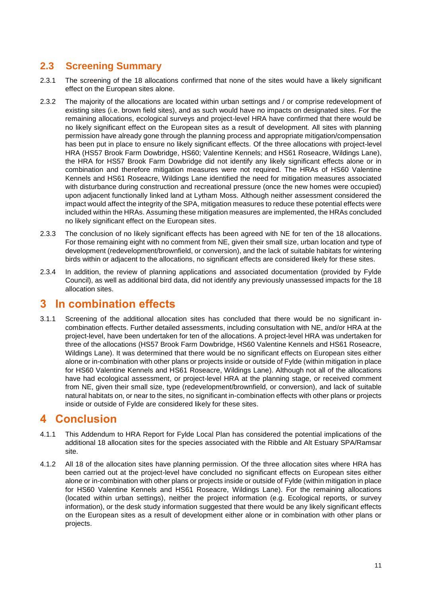### <span id="page-11-0"></span>**2.3 Screening Summary**

- 2.3.1 The screening of the 18 allocations confirmed that none of the sites would have a likely significant effect on the European sites alone.
- 2.3.2 The majority of the allocations are located within urban settings and / or comprise redevelopment of existing sites (i.e. brown field sites), and as such would have no impacts on designated sites. For the remaining allocations, ecological surveys and project-level HRA have confirmed that there would be no likely significant effect on the European sites as a result of development. All sites with planning permission have already gone through the planning process and appropriate mitigation/compensation has been put in place to ensure no likely significant effects. Of the three allocations with project-level HRA (HS57 Brook Farm Dowbridge, HS60; Valentine Kennels; and HS61 Roseacre, Wildings Lane), the HRA for HS57 Brook Farm Dowbridge did not identify any likely significant effects alone or in combination and therefore mitigation measures were not required. The HRAs of HS60 Valentine Kennels and HS61 Roseacre, Wildings Lane identified the need for mitigation measures associated with disturbance during construction and recreational pressure (once the new homes were occupied) upon adjacent functionally linked land at Lytham Moss. Although neither assessment considered the impact would affect the integrity of the SPA, mitigation measures to reduce these potential effects were included within the HRAs. Assuming these mitigation measures are implemented, the HRAs concluded no likely significant effect on the European sites.
- 2.3.3 The conclusion of no likely significant effects has been agreed with NE for ten of the 18 allocations. For those remaining eight with no comment from NE, given their small size, urban location and type of development (redevelopment/brownfield, or conversion), and the lack of suitable habitats for wintering birds within or adjacent to the allocations, no significant effects are considered likely for these sites.
- 2.3.4 In addition, the review of planning applications and associated documentation (provided by Fylde Council), as well as additional bird data, did not identify any previously unassessed impacts for the 18 allocation sites.

## <span id="page-11-1"></span>3 In combination effects

3.1.1 Screening of the additional allocation sites has concluded that there would be no significant incombination effects. Further detailed assessments, including consultation with NE, and/or HRA at the project-level, have been undertaken for ten of the allocations. A project-level HRA was undertaken for three of the allocations (HS57 Brook Farm Dowbridge, HS60 Valentine Kennels and HS61 Roseacre, Wildings Lane). It was determined that there would be no significant effects on European sites either alone or in-combination with other plans or projects inside or outside of Fylde (within mitigation in place for HS60 Valentine Kennels and HS61 Roseacre, Wildings Lane). Although not all of the allocations have had ecological assessment, or project-level HRA at the planning stage, or received comment from NE, given their small size, type (redevelopment/brownfield, or conversion), and lack of suitable natural habitats on, or near to the sites, no significant in-combination effects with other plans or projects inside or outside of Fylde are considered likely for these sites.

## <span id="page-11-2"></span>4 Conclusion

- 4.1.1 This Addendum to HRA Report for Fylde Local Plan has considered the potential implications of the additional 18 allocation sites for the species associated with the Ribble and Alt Estuary SPA/Ramsar site.
- 4.1.2 All 18 of the allocation sites have planning permission. Of the three allocation sites where HRA has been carried out at the project-level have concluded no significant effects on European sites either alone or in-combination with other plans or projects inside or outside of Fylde (within mitigation in place for HS60 Valentine Kennels and HS61 Roseacre, Wildings Lane). For the remaining allocations (located within urban settings), neither the project information (e.g. Ecological reports, or survey information), or the desk study information suggested that there would be any likely significant effects on the European sites as a result of development either alone or in combination with other plans or projects.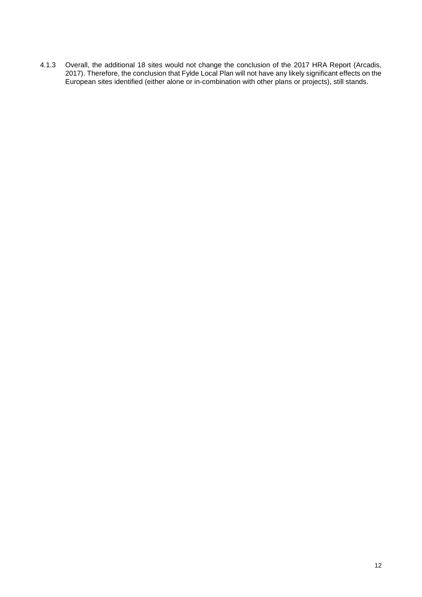4.1.3 Overall, the additional 18 sites would not change the conclusion of the 2017 HRA Report (Arcadis, 2017). Therefore, the conclusion that Fylde Local Plan will not have any likely significant effects on the European sites identified (either alone or in-combination with other plans or projects), still stands.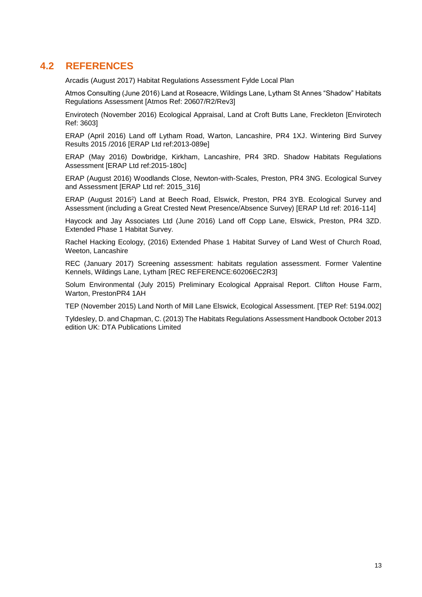### <span id="page-13-0"></span>**4.2 REFERENCES**

Arcadis (August 2017) Habitat Regulations Assessment Fylde Local Plan

Atmos Consulting (June 2016) Land at Roseacre, Wildings Lane, Lytham St Annes "Shadow" Habitats Regulations Assessment [Atmos Ref: 20607/R2/Rev3]

Envirotech (November 2016) Ecological Appraisal, Land at Croft Butts Lane, Freckleton [Envirotech Ref: 3603]

ERAP (April 2016) Land off Lytham Road, Warton, Lancashire, PR4 1XJ. Wintering Bird Survey Results 2015 /2016 [ERAP Ltd ref:2013-089e]

ERAP (May 2016) Dowbridge, Kirkham, Lancashire, PR4 3RD. Shadow Habitats Regulations Assessment [ERAP Ltd ref:2015-180c]

ERAP (August 2016) Woodlands Close, Newton-with-Scales, Preston, PR4 3NG. Ecological Survey and Assessment [ERAP Ltd ref: 2015\_316]

ERAP (August 2016<sup>2</sup>) Land at Beech Road, Elswick, Preston, PR4 3YB. Ecological Survey and Assessment (including a Great Crested Newt Presence/Absence Survey) [ERAP Ltd ref: 2016-114]

Haycock and Jay Associates Ltd (June 2016) Land off Copp Lane, Elswick, Preston, PR4 3ZD. Extended Phase 1 Habitat Survey.

Rachel Hacking Ecology, (2016) Extended Phase 1 Habitat Survey of Land West of Church Road, Weeton, Lancashire

REC (January 2017) Screening assessment: habitats regulation assessment. Former Valentine Kennels, Wildings Lane, Lytham [REC REFERENCE:60206EC2R3]

Solum Environmental (July 2015) Preliminary Ecological Appraisal Report. Clifton House Farm, Warton, PrestonPR4 1AH

TEP (November 2015) Land North of Mill Lane Elswick, Ecological Assessment. [TEP Ref: 5194.002]

Tyldesley, D. and Chapman, C. (2013) The Habitats Regulations Assessment Handbook October 2013 edition UK: DTA Publications Limited